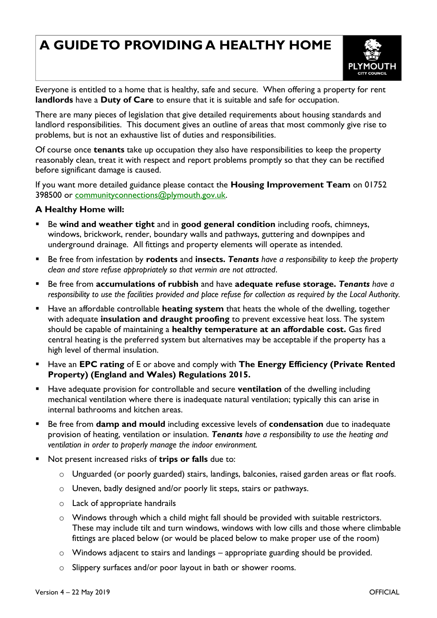## **A GUIDE TO PROVIDING A HEALTHY HOME**



Everyone is entitled to a home that is healthy, safe and secure. When offering a property for rent **landlords** have a **Duty of Care** to ensure that it is suitable and safe for occupation.

There are many pieces of legislation that give detailed requirements about housing standards and landlord responsibilities. This document gives an outline of areas that most commonly give rise to problems, but is not an exhaustive list of duties and responsibilities.

Of course once **tenants** take up occupation they also have responsibilities to keep the property reasonably clean, treat it with respect and report problems promptly so that they can be rectified before significant damage is caused.

If you want more detailed guidance please contact the **Housing Improvement Team** on 01752 398500 or [communityconnections@plymouth.gov.uk.](mailto:communityconnections@plymouth.gov.uk)

## **A Healthy Home will:**

- Be **wind and weather tight** and in **good general condition** including roofs, chimneys, windows, brickwork, render, boundary walls and pathways, guttering and downpipes and underground drainage. All fittings and property elements will operate as intended.
- Be free from infestation by **rodents** and **insects.** *Tenants have a responsibility to keep the property clean and store refuse appropriately so that vermin are not attracted*.
- Be free from **accumulations of rubbish** and have **adequate refuse storage.** *Tenants have a responsibility to use the facilities provided and place refuse for collection as required by the Local Authority.*
- Have an affordable controllable **heating system** that heats the whole of the dwelling, together with adequate **insulation and draught proofing** to prevent excessive heat loss. The system should be capable of maintaining a **healthy temperature at an affordable cost.** Gas fired central heating is the preferred system but alternatives may be acceptable if the property has a high level of thermal insulation.
- Have an **EPC rating** of E or above and comply with **The Energy Efficiency (Private Rented Property) (England and Wales) Regulations 2015.**
- Have adequate provision for controllable and secure **ventilation** of the dwelling including mechanical ventilation where there is inadequate natural ventilation; typically this can arise in internal bathrooms and kitchen areas.
- Be free from **damp and mould** including excessive levels of **condensation** due to inadequate provision of heating, ventilation or insulation. *Tenants have a responsibility to use the heating and ventilation in order to properly manage the indoor environment.*
- Not present increased risks of **trips or falls** due to:
	- o Unguarded (or poorly guarded) stairs, landings, balconies, raised garden areas or flat roofs.
	- o Uneven, badly designed and/or poorly lit steps, stairs or pathways.
	- o Lack of appropriate handrails
	- o Windows through which a child might fall should be provided with suitable restrictors. These may include tilt and turn windows, windows with low cills and those where climbable fittings are placed below (or would be placed below to make proper use of the room)
	- o Windows adjacent to stairs and landings appropriate guarding should be provided.
	- o Slippery surfaces and/or poor layout in bath or shower rooms.